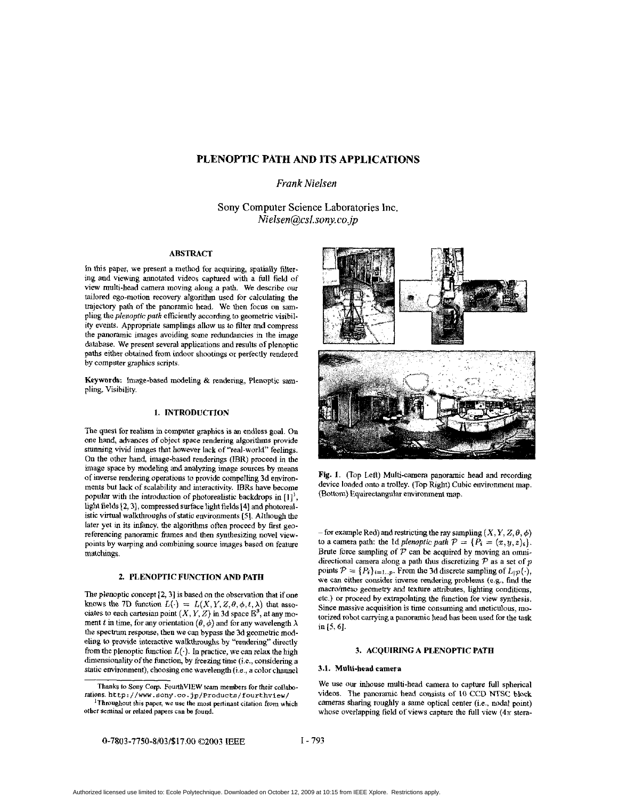# **PLENOPTIC PATH AND ITS APPLICATIONS**

# *Frank Nielsen*

Sony Computer Science Laboratories Inc. *Nielsen@sl.sony.cojp* 

### **ABSTRACT**

**In** this paper, we present a method for acquiring, spatially filtering and viewing annotated videos captured with a full field of view multi-head camera moving along a path. We describe our tailored ego-motion recovery algorithm used for calculating the trajectory path of the panoramic head. We then focus on sampluig the plenoptic path efficiently according to geometric visibility events. Appropriate samplings allow us *to* filter and compress the panoramic images avoiding some redundancies in the image database. We present several applications and results of plenoptic paths either obtained from indoor shootings or perfectly rendered by computer graphics scripts.

Keywords: Image-based modeling & rendering, Plenoptic *sam*pling, Visibility.

## **1. INTRODUCTION**

The quest for realism in computer graphics is an endless goal. On one hand, advances of object space rendering algorithms provide stunning vivid images that however lack of "real-world" feelings. On the other hand, image-based renderings (IBR) proceed in the image space by modeling and analyzing image sources by means of inverse rendering operations to provide compelling 3d environments but lack of scalability and interactivity. IBRs have become popular with Ihe introduction of photorealistic backdrops in **[I]',**  light fields **[2,3],** compressed surface light fields 141 and photorealistic virtual walkhoughs of static environments **(SI.** Although the later yet in its infancy, the algorithms often proceed by first georeferencing panoramic frames and then synthesizing novel viewpoints by warping and combining some images based on feature matchings.

## **2. PLENOPTIC FUNCTION AND PATH**

**The** plenoptic concept **[2,3]** is hasedon the observation that ifone knows the 7D function  $L(\cdot) = L(X, Y, Z, \theta, \phi, t, \lambda)$  that associates to each cartesian point  $(X, Y, Z)$  in 3d space  $\mathbb{E}^3$ , at any moment t in time, for any orientation  $(\theta, \phi)$  and for any wavelength  $\lambda$ the spectrum response, then we can bypass the 3d geometric modeling to provide interactive walkthroughs by "rendering" directly from the plenoptic function  $L(\cdot)$ . In practice, we can relax the high dimensionality of the function, by freezing time (i.e., considering a static environment), choosing one wavelength (i.e., a color channel



Fig. 1. (Top Left) Multi-camera panoramic head and recording device loaded onto a trolley. (Top Right) Cubic environment map. (Bottom) Equirectaugular environment map.

- for example Red) and restricting the ray sampling  $(X, Y, Z, \theta, \phi)$ to a camera path: the 1d plenoptic path  $P = \{P_i = (x, y, z)\}\.$ Brute force sampling of P can be acquired by moving an **omni**directional camera along a path thus discretizing P as a set of *<sup>p</sup>* points  $P = \{P_i\}_{i=1..p}$ . From the 3d discrete sampling of  $L_{\mathcal{P}}(\cdot)$ , we can either consider iwerse rendering problems *(e.g.,* find the macro/meso geometry and texture attributes, lighting conditions, etc.) or proceed by extrapolating the function for view synthesis. Since massive acquisition is time consuming and meticulous, motorized robot carrying a panoramic head has been used for the task in **[S, 61.** 

### **3. ACQUIRING A PLENOPTIC PATH**

## **3.1. Multi-head camera**

We use our inhouse multi-head camera to capture full spherical videos. The panoramic head consists of IO CCD NTSC **block**  camems sharing roughly a same optical center (i.e.. nodal point) whose overlapping field of views capture the full view **(4n** stem-

**Thanks to Sony** *Cow.* **FoulthVIEW team members for their collabo rations. http: //ww. sony.** *CO.* **jp/Products/fourthviev/** 

**<sup>&#</sup>x27;Throughout this paper, we use** *the* **most pertinant citation from which other seminal or related** papers **can be found.**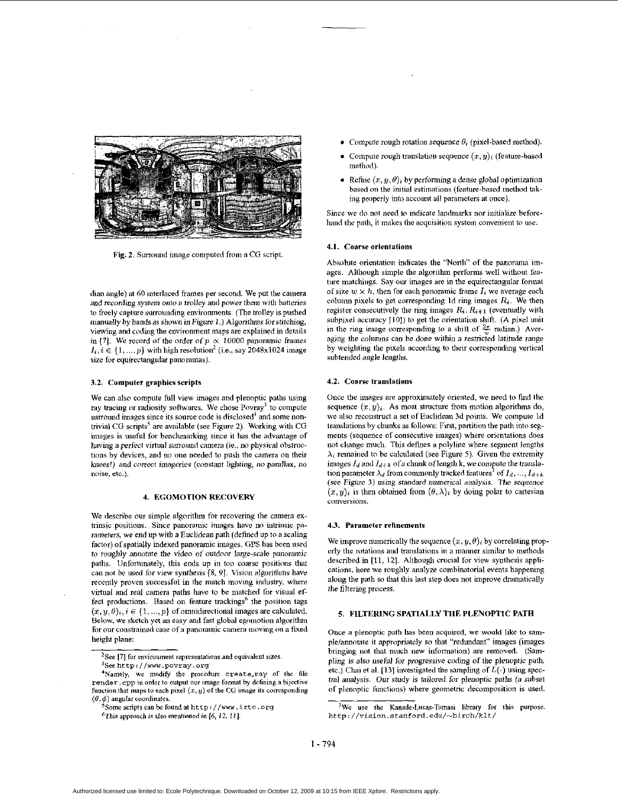

Fig. 2. **Surround** image computed from a CG script

dian angle) at 60 interlaced frames per second. We put the camera and reconling system onto a trolley and power them wilh batteries to freely capture surrounding environments (The trolley is pushed manually by hands **as** shown in Figure I .) Algorithms forstitching, viewing and coding the environment maps are explained in details in [7]. We record of the order of  $p \propto 10000$  panoramic frames  $I_i, i \in \{1, ..., p\}$  with high resolution<sup>2</sup> (i.e., say 2048x1024 image size for equirectangular panoramas).

#### **3.2.** Computer graphics scripts

We can also compute full view images and plenoptic paths using ray tracing or radiosity softwares. We chose  $Povrav<sup>3</sup>$  to compute surround images since its source code is disclosed<sup>4</sup> and some nontrivial CG scripts' are available (see Figure 2). Working with CG images is useful for benchmarking since it has the advantage of having **a** perfect virtual surround camera (ie., no physical obstructions by devices, and no one needed to push the camera on their *knees!)* and correct imageries (constant lighting. no parallax. no noise. **etc.).** 

### **4. EGOMOTION RECOVERY**

We describe our simple algorithm for recovering the camera extrinsic positions. Since panoramic images have no intrinsic parameters, we end up with a Euclidean path (defined up to a scaling factor) of spatially indexed panoramic images. GPS has been used to roughly annotate the video of outdoor large-scale panoramic paths. Unfortunately, this ends up in too coarse positions that **can** not be used for view synthesis **[8.** *91.* Wsion algorithms have recently proven successful in the match moving industry. where virtual and real camera paths have to be matched for visual effect productions. Based on feature trackings<sup>6</sup> the position tags  $(x, y, \theta)$ <sub>i</sub>,  $i \in \{1, ..., p\}$  of omnidirectional images are calculated. Below, we sketch yet an easy and fast global egomotion algorithm for our constrained case of a panoramic camera moving on a fixed height plane:

- Compute rough rotation sequence  $\theta_i$  (pixel-based method).
- Compute rough translation sequence  $(x, y)_i$  (feature-based method).
- Refine  $(x, y, \theta)_i$  by performing a dense global optimization based on the initial estimations (feature-based method taking properly into **account** ail parameters at once).

Since we do not need **lo** indicate landmarks nor initialize beforehand the path, it makes the acquisition system convenient to use.

#### **4.1.** Coarse orientations

Absolute orientation indicates the "North" of the panorama images. Although simple the algorithm performs well without feature matchings. Say our images are in the equirectangular format of size  $w \times h$ , then for each panoramic frame  $I_i$  we average each column pixels to get corresponding 1d ring images  $R_i$ . We then register consecutively the ring images  $R_i$ ,  $R_{i+1}$  (eventually with subpixel accuracy [10]) to get the orientation shift. *(A pixel unit* in the ring image corresponding to a shift of  $\frac{2\pi}{n}$  radian.) Averaging the columns can be done within a restricted latitude range by weighting the pixels according **to** their corresponding vertical subtended mgle lengths.

#### **4.2.** Coarse translations

Once the images are approximately oriented, we need to find the sequence  $(x, y)_i$ . As most structure from motion algorithms do, we also reconstruct a set of Euclidean 3d points. We compute 1d translations by chunks as follows: First, partition the path into seg**ments** (sequence of consecutive images) where orientations **does**  not **chansc** much. This defines a polyline where segment lengths  $\lambda_i$  remained to be calculated (see Figure 5). Given the extremity images  $I_d$  and  $I_{d+k}$  of a chunk of length k, we compute the translation parameter  $\lambda_d$  from commonly tracked features<sup>7</sup> of  $I_d, ..., I_{d+k}$ (see **Fipure** 3) using standard numerical analysis. The sequence  $(x,y)_i$  is then obtained from  $(\theta,\lambda)_i$  by doing polar to cartesian conversions.

#### **4.3.** Parameter refinements

We improve numerically the sequence  $(x, y, \theta)$ ; by correlating properly the rotations and translations in a maimer similar to methods described in [11, 12]. Although crucial for view synthesis applications, here we roughly analyze combinatorial events happening along the path so **that** this last step does not iniprove dramatically the filtering process.

## *I.* **FILTERING SPATIALLY THE PLENOPTIC PATH**

Once a plenoptic path has been acquired, we would like **to** sample/annotate it appropriately so that "redundant" images (images bringing not that much new information) are removed. (Sampling is also useful for progressive coding of the plenoptic path. etc.) Chai et al. [13] investigated the sampling of  $L(·)$  using spectral analysis. Our study is tiilored *for* plenoptic paths *(a* subset of plenoptic functions) where geometric decomposition is used.

*<sup>2</sup>See* **[7]** for environment representations **and** equivalent sizes. *'Se* http: **//www** .povray. **org** 

**<sup>4</sup>Namely, we** mudify **the procedure** create-ray of the **file**  render. cpp in order to output our image format by defining a bijective **fuoclion** that maps to each pixel (z. **y)** of the CG **image** its corresponding  $(\theta, \phi)$  angular coordinates.

**<sup>-</sup>Some** scnpts **can** bc **found at** http: **//www.** irtc. **org** 

<sup>6</sup>This approach is **also** mentioned **in** (6, I?. *111.* 

<sup>&</sup>lt;sup>7</sup>We use the Kanade-Lucas-Tomasi library for this purpose. http://vision.stanford.edu/~birch/klt/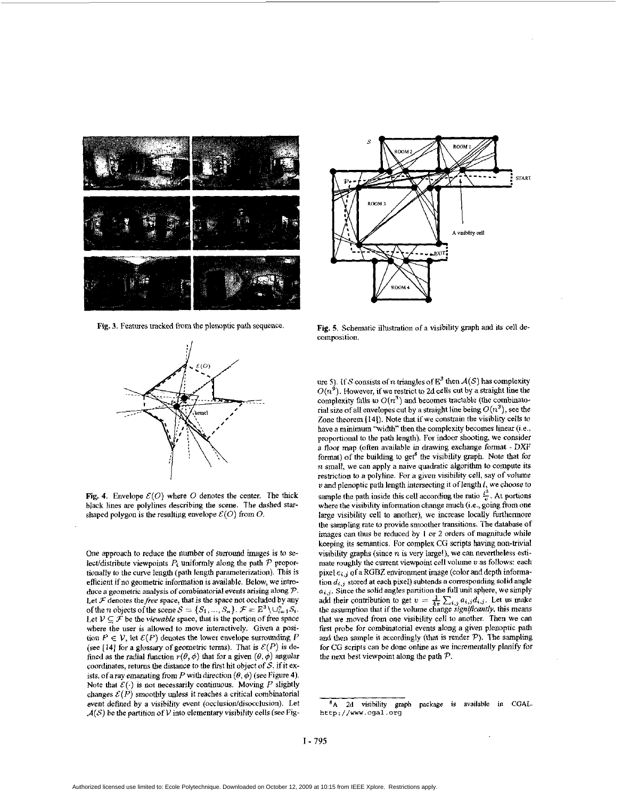

Fig. **3.** Features tracked from the plenoptic path sequence.



Fig. 4. Envelope  $\mathcal{E}(O)$  where O denotes the center. The thick black lines are polylines describing the scene. The dashed starshaped polygon is the resulting envelope  $\mathcal{E}(O)$  from  $O$ .

One approach to reduce the number of surround images is to select/distribute viewpoints  $P_i$  uniformly along the path  $P$  proportionally to the curve length (path length parameterization). This is efficient if no geometric information is available. Below, we introduce a geometric analysis of combinatorial events arising dong *P.*  Let  $\mathcal F$  denotes the *free* space, that is the space not occluded by any of the *n* objects of the scene  $S = \{S_1, ..., S_n\}$ .  $\mathcal{F} = \mathbb{E}^3 \setminus \cup_{i=1}^n S_i$ . Let  $V \subseteq \mathcal{F}$  be the *viewable* space, that is the portion of free space where the user is allowed to move interactively. Given a position  $P \in V$ , let  $\mathcal{E}(P)$  denotes the lower envelope surrounding P (see [14] for a glossary of geometric terms). That is  $\mathcal{E}(P)$  is defined as the radial function  $r(\theta, \phi)$  that for a given  $(\theta, \phi)$  angular coordinates, returns the distance to the first hit object of  $S$ , if it exists, of a ray emanating from P with direction  $(\theta, \phi)$  (see Figure 4). Note that  $\mathcal{E}(\cdot)$  is not necessarily continuous. Moving P slightly changes  $\mathcal{E}(P)$  smoothly unless it reaches a critical combinatorial event defined by a visibility event (occlusion/disocclusion). Let  $\mathcal{A}(\mathcal{S})$  be the partition of  $V$  into elementary visibility cells (see Fig-



Fig. *5.* Schematic illustration of a visibility graph and its cell decomposition.

ure 5). If S consists of n triangles of  $E^3$  then  $A(S)$  has complexity  $O(n^9)$ . However, if we restrict to 2d cells cut by a straight line the complexity falls to  $O(n^3)$  and becomes tractable (the combinatorial size of all envelopes cut by a straight line being  $O(n^3)$ , see the Zone theorem [14]). Note that if we constrain the visiblity cells to have a minimum *'Width"* then the complexity becomes **linear** (i.e.. proportional to the path length). For indoor shooting, we consider a floor map (often available in drawing exchange format - DXF format) of the building to get<sup>8</sup> the visibility graph. Note that for *n* small, we can apply a naive quadratic algorithm to compute its restriction to *a* polyline. For a given visibility cell, say of volume U and plenoptic path length intersecting it oflength *1,* we chouse to sample the path inside this cell according the ratio  $\frac{l^3}{v}$ . At portions where the visibility information change much (i.e., going from one large visibility cell *to* another), we increase locally furthermore the sampling rate to provide smoother transitions. The database of images can thus be reduced by *1* or 2 orders of magnitude while keeping its semantics. For complex CG scripts having non-trivial visibility graphs (since *n* is very large!), we can nevertheless estimate roughly the current viewpoint cell volume  $v$  as follows: each pixel  $e_{i,j}$  of a RGBZ environment image (color and depth information **di,;** stored **at** each pixel) subtends a corresponding solid angle *ai,j.* Since the solid angles partition **the** full unit sphere, we simply add their contribution to get  $v = \frac{1}{4\pi} \sum_{i,j} a_{i,j} d_{i,j}$ . Let us make the assumption that if the volume change *significantly*, this means that we moved from one visibility cell to another. Then we can first probe for combinatorial events along a given plenoptic path and then sample it accordingly (that is render  $P$ ). The sampling for CG scripts can be done online as we incrementally planify for the next best viewpoint along the path P.

**<sup>&#</sup>x27;A 26** visibility graph **package is wailable in CGAL. <http://www.cgal.org>**